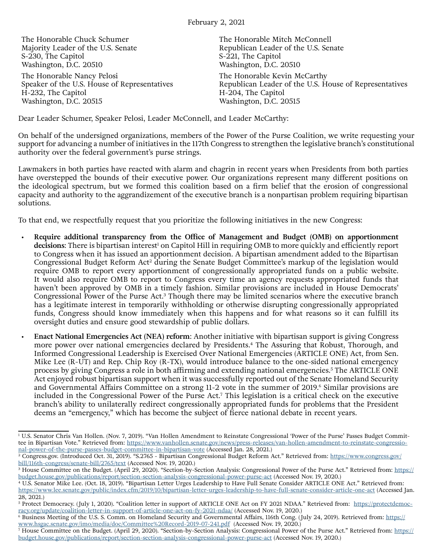The Honorable Chuck Schumer Majority Leader of the U.S. Senate S-230, The Capitol Washington, D.C. 20510 The Honorable Nancy Pelosi

Speaker of the U.S. House of Representatives H-232, The Capitol Washington, D.C. 20515

The Honorable Mitch McConnell Republican Leader of the U.S. Senate S-221, The Capitol Washington, D.C. 20510 The Honorable Kevin McCarthy Republican Leader of the U.S. House of Representatives H-204, The Capitol Washington, D.C. 20515

Dear Leader Schumer, Speaker Pelosi, Leader McConnell, and Leader McCarthy:

On behalf of the undersigned organizations, members of the Power of the Purse Coalition, we write requesting your support for advancing a number of initiatives in the 117th Congress to strengthen the legislative branch's constitutional authority over the federal government's purse strings.

Lawmakers in both parties have reacted with alarm and chagrin in recent years when Presidents from both parties have overstepped the bounds of their executive power. Our organizations represent many different positions on the ideological spectrum, but we formed this coalition based on a firm belief that the erosion of congressional capacity and authority to the aggrandizement of the executive branch is a nonpartisan problem requiring bipartisan solutions.

To that end, we respectfully request that you prioritize the following initiatives in the new Congress:

- **Require additional transparency from the Office of Management and Budget (OMB) on apportionment decisions**: There is bipartisan interest<sup>1</sup> on Capitol Hill in requiring OMB to more quickly and efficiently report to Congress when it has issued an apportionment decision. A bipartisan amendment added to the Bipartisan Congressional Budget Reform Act2 during the Senate Budget Committee's markup of the legislation would require OMB to report every apportionment of congressionally appropriated funds on a public website. It would also require OMB to report to Congress every time an agency requests appropriated funds that haven't been approved by OMB in a timely fashion. Similar provisions are included in House Democrats' Congressional Power of the Purse Act.<sup>3</sup> Though there may be limited scenarios where the executive branch has a legitimate interest in temporarily withholding or otherwise disrupting congressionally appropriated funds, Congress should know immediately when this happens and for what reasons so it can fulfill its oversight duties and ensure good stewardship of public dollars.
- **Enact National Emergencies Act (NEA) reform**: Another initiative with bipartisan support is giving Congress more power over national emergencies declared by Presidents.4 The Assuring that Robust, Thorough, and Informed Congressional Leadership is Exercised Over National Emergencies (ARTICLE ONE) Act, from Sen. Mike Lee (R-UT) and Rep. Chip Roy (R-TX), would introduce balance to the one-sided national emergency process by giving Congress a role in both affirming and extending national emergencies.<sup>5</sup> The ARTICLE ONE Act enjoyed robust bipartisan support when it was successfully reported out of the Senate Homeland Security and Governmental Affairs Committee on a strong 11-2 vote in the summer of 2019.<sup>6</sup> Similar provisions are included in the Congressional Power of the Purse Act.7 This legislation is a critical check on the executive branch's ability to unilaterally redirect congressionally appropriated funds for problems that the President deems an "emergency," which has become the subject of fierce national debate in recent years.

<sup>1</sup> U.S. Senator Chris Van Hollen. (Nov. 7, 2019). "Van Hollen Amendment to Reinstate Congressional 'Power of the Purse' Passes Budget Committee in Bipartisan Vote." Retrieved from: https://www.vanhollen.senate.gov/news/press-releases/van-hollen-amendment-to-reinstate-congressio-<br>nal-power-of-the-purse-passes-budget-committee-in-bipartisan-vote (Accessed Jan. 2

<sup>&</sup>lt;sup>2</sup> Congress.gov. (Introduced Oct. 31, 2019). "S.2765 - Bipartisan Congressional Budget Reform Act." Retrieved from: [https://www.congress.gov/](https://www.congress.gov/bill/116th-congress/senate-bill/2765/text) [bill/116th-congress/senate-bill/2765/text](https://www.congress.gov/bill/116th-congress/senate-bill/2765/text) (Accessed Nov. 19, 2020.)

<sup>&</sup>lt;sup>3</sup> House Committee on the Budget. (April 29, 2020). "Section-by-Section Analysis: Congressional Power of the Purse Act." Retrieved from: <u>[https://](https://budget.house.gov/publications/report/section-section-analysis-congressional-power-purse-act)</u> [budget.house.gov/publications/report/section-section-analysis-congressional-power-purse-act](https://budget.house.gov/publications/report/section-section-analysis-congressional-power-purse-act) (Accessed Nov. 19, 2020.)

<sup>4</sup> U.S. Senator Mike Lee. (Oct. 18, 2019). "Bipartisan Letter Urges Leadership to Have Full Senate Consider ARTICLE ONE Act." Retrieved from: <https://www.lee.senate.gov/public/index.cfm/2019/10/bipartisan-letter-urges-leadership-to-have-full-senate-consider-article-one-act> (Accessed Jan. 28, 2021.)

<sup>&</sup>lt;sup>5</sup> Protect Democracy. (July 1, 2020). "Coalition letter in support of ARTICLE ONE Act on FY 2021 NDAA." Retrieved from: [https://protectdemoc](https://protectdemocracy.org/update/coalition-letter-in-support-of-article-one-act-on-fy-2021-ndaa/)[racy.org/update/coalition-letter-in-support-of-article-one-act-on-fy-2021-ndaa/](https://protectdemocracy.org/update/coalition-letter-in-support-of-article-one-act-on-fy-2021-ndaa/) (Accessed Nov. 19, 2020.)

<sup>&</sup>lt;sup>6</sup> Business Meeting of the U.S. S. Comm. on Homeland Security and Governmental Affairs, 116th Cong. (July 24, 2019). Retrieved from: <u>[https://](https://www.hsgac.senate.gov/imo/media/doc/Committee%20Record-2019-07-241.pdf)</u> [www.hsgac.senate.gov/imo/media/doc/Committee%20Record-2019-07-241.pdf](https://www.hsgac.senate.gov/imo/media/doc/Committee%20Record-2019-07-241.pdf) (Accessed Nov. 19, 2020.)

<sup>&</sup>lt;sup>7</sup> House Committee on the Budget. (April 29, 2020). "Section-by-Section Analysis: Congressional Power of the Purse Act." Retrieved from: <u>[https://](https://budget.house.gov/publications/report/section-section-analysis-congressional-power-purse-act)</u> [budget.house.gov/publications/report/section-section-analysis-congressional-power-purse-act](https://budget.house.gov/publications/report/section-section-analysis-congressional-power-purse-act) (Accessed Nov. 19, 2020.)